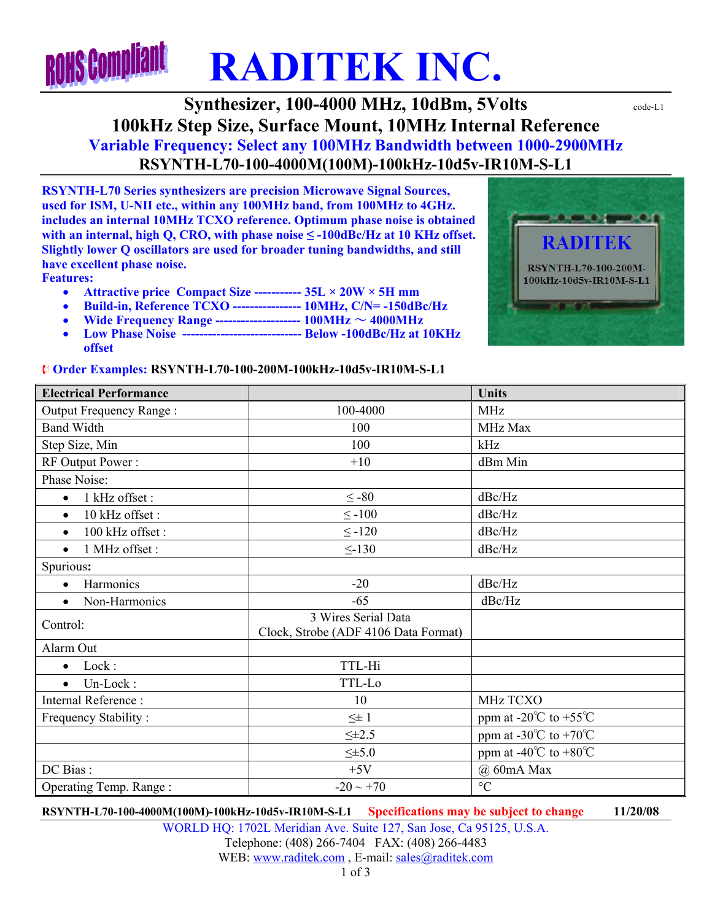## **ROHS Complia RADITEK INC.**

## **Synthesizer, 100-4000 MHz, 10dBm, 5Volts**  $\text{code-L1}$ **100kHz Step Size, Surface Mount, 10MHz Internal Reference Variable Frequency: Select any 100MHz Bandwidth between 1000-2900MHz RSYNTH-L70-100-4000M(100M)-100kHz-10d5v-IR10M-S-L1**

**RSYNTH-L70 Series synthesizers are precision Microwave Signal Sources, used for ISM, U-NII etc., within any 100MHz band, from 100MHz to 4GHz. includes an internal 10MHz TCXO reference. Optimum phase noise is obtained with an internal, high Q, CRO, with phase noise ≤ -100dBc/Hz at 10 KHz offset. Slightly lower Q oscillators are used for broader tuning bandwidths, and still have excellent phase noise.** 

**Features:** 

- **Attractive price Compact Size ----------- 35L × 20W × 5H mm**
- **Build-in, Reference TCXO ---------------- 10MHz, C/N= -150dBc/Hz**
- **Wide Frequency Range -------------------- 100MHz** ~ **4000MHz**
- **Low Phase Noise ---------------------------- Below -100dBc/Hz at 10KHz offset**

## ¨ **Order Examples: RSYNTH-L70-100-200M-100kHz-10d5v-IR10M-S-L1**



| <b>Electrical Performance</b> |                                                             | <b>Units</b>                              |
|-------------------------------|-------------------------------------------------------------|-------------------------------------------|
| Output Frequency Range:       | 100-4000                                                    | <b>MHz</b>                                |
| <b>Band Width</b>             | 100                                                         | MHz Max                                   |
| Step Size, Min                | 100                                                         | kHz                                       |
| RF Output Power:              | $+10$                                                       | dBm Min                                   |
| Phase Noise:                  |                                                             |                                           |
| 1 kHz offset :<br>$\bullet$   | $\leq -80$                                                  | dBc/Hz                                    |
| 10 kHz offset:<br>$\bullet$   | $\leq -100$                                                 | dBc/Hz                                    |
| 100 kHz offset:<br>$\bullet$  | $\leq$ -120                                                 | dBc/Hz                                    |
| 1 MHz offset :<br>$\bullet$   | $\leq$ -130                                                 | dBc/Hz                                    |
| Spurious:                     |                                                             |                                           |
| Harmonics<br>$\bullet$        | $-20$                                                       | dBc/Hz                                    |
| Non-Harmonics<br>$\bullet$    | $-65$                                                       | dBc/Hz                                    |
| Control:                      | 3 Wires Serial Data<br>Clock, Strobe (ADF 4106 Data Format) |                                           |
| Alarm Out                     |                                                             |                                           |
| Lock:<br>$\bullet$            | TTL-Hi                                                      |                                           |
| Un-Lock:<br>$\bullet$         | TTL-Lo                                                      |                                           |
| Internal Reference:           | 10                                                          | MHz TCXO                                  |
| Frequency Stability:          | $\leq\pm 1$                                                 | ppm at -20 $\degree$ C to +55 $\degree$ C |
|                               | $\leq \pm 2.5$                                              | ppm at -30 $\degree$ C to +70 $\degree$ C |
|                               | $\leq \pm 5.0$                                              | ppm at -40 $\degree$ C to +80 $\degree$ C |
| DC Bias:                      | $+5V$                                                       | @ 60mA Max                                |
| Operating Temp. Range:        | $-20 \sim +70$                                              | $\rm ^{\circ}C$                           |

**RSYNTH-L70-100-4000M(100M)-100kHz-10d5v-IR10M-S-L1 Specifications may be subject to change 11/20/08**

WORLD HQ: 1702L Meridian Ave. Suite 127, San Jose, Ca 95125, U.S.A. Telephone: (408) 266-7404 FAX: (408) 266-4483 WEB: www.raditek.com, E-mail: sales@raditek.com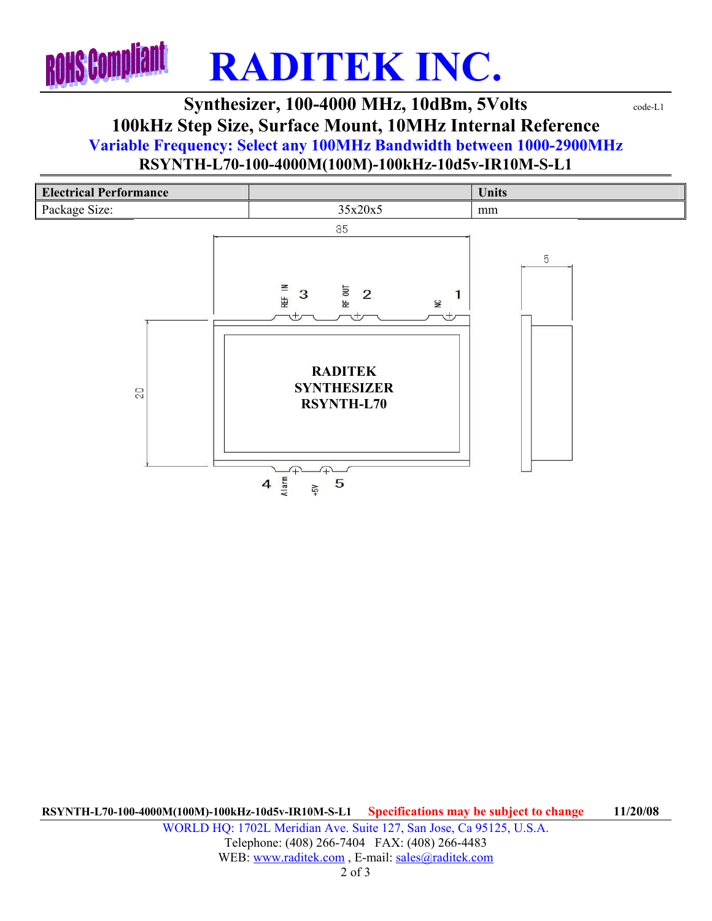

## **Synthesizer, 100-4000 MHz, 10dBm, 5Volts**  $\text{code-L1}$ **100kHz Step Size, Surface Mount, 10MHz Internal Reference Variable Frequency: Select any 100MHz Bandwidth between 1000-2900MHz**

**RSYNTH-L70-100-4000M(100M)-100kHz-10d5v-IR10M-S-L1** 



**RSYNTH-L70-100-4000M(100M)-100kHz-10d5v-IR10M-S-L1 Specifications may be subject to change 11/20/08** WORLD HQ: 1702L Meridian Ave. Suite 127, San Jose, Ca 95125, U.S.A. Telephone: (408) 266-7404 FAX: (408) 266-4483 WEB: www.raditek.com, E-mail: sales@raditek.com